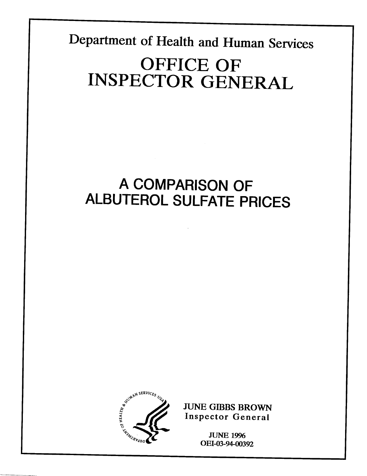Department **of Health and Human Services** 

I

# **OFFICE OF INSPECTOR GENERAL**

# **A COMPARISON OF ALBUTEROL SULFATE PRICES**



**JUNE GIBBS BROWN** Inspector General

> **JUNE 1996** OEI-03-94-00392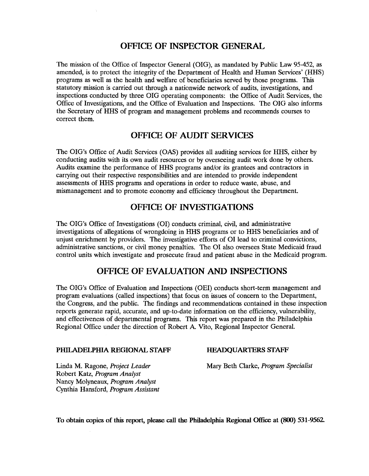#### **OFFICE OF INSPECTOR GENERAL**

The mission of the Office of Inspector General (OIG), as mandated by Public Law 95-452, as amended, is to protect the integrity of the Department of Health and Human Services' (HHS) programs as well as the health and welfare of beneficiaries sewed by those programs. This statutory mission is carried out through a nationwide network of audits, investigations, and inspections conducted by three OIG operating components: the Office of Audit Services, the Office of Investigations, and the Office of Evaluation and Inspections. The OIG also informs the Secretary of HHS of program and management problems and recommends courses to correct them.

#### **OFFICE OF AUDIT SERVICES**

The OIG's Office of Audit Services (OAS) provides all auditing services for HHS, either by conducting audits with its own audit resources or by overseeing audit work done by others. Audits examine the performance of HHS programs and/or its grantees and contractors in carrying out their respective responsibilities and are intended to provide independent assessments of HHS programs and operations in order to reduce waste, abuse, and mismanagement and to promote economy and efficiency throughout the Department.

#### **OFFICE OF INVESTIGATIONS**

The OIG'S Office of Investigations (01) conducts criminal, civil, and administrative investigations of allegations of wrongdoing in HHS programs or to HHS beneficiaries and of unjust enrichment by providers. The investigative efforts of 01 lead to criminal convictions, administrative sanctions, or civil money penalties. The 01 also oversees State Medicaid fraud control units which investigate and prosecute fraud and patient abuse in the Medicaid program.

#### **OFFICE OF EVALUATION AND INSPECTIONS**

The OIG'S Office of Evaluation and Inspections (OEI) conducts short-term management and program evaluations (called inspections) that focus on issues of concern to the Department, the Congress, and the public. The findings and recommendations contained in these inspection reports generate rapid, accurate, and up-to-date information on the efficiency, vulnerability, and effectiveness of departmental programs. This report was prepared in the Philadelphia Regional Office under the direction of Robert A. Vito, Regional Inspector General.

#### **PHILADELPHIA REGIONAL STAFF FIEADQUARTERS STAFF**

Robert Katz, *Program Analyst*  Nancy Molyneaux, *Program Analyst*  Cynthia Hansford, *Program Assistant* 

Linda M. Ragone, *Project Leader* Mary Beth Clarke, *Program Specialist* 

To obtain copies of this report, please call the Philadelphia Regional Office at (800) 531-9562.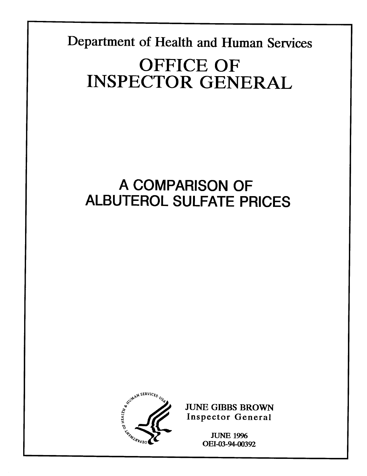Department of Health and Human Services **OFFICE OF** 

**INSPECTOR GENERAL** 

# A COMPARISON OF **ALBUTEROL SULFATE PRICES**



**JUNE GIBBS BROWN** Inspector General

> **JUNE 1996** OEI-03-94-00392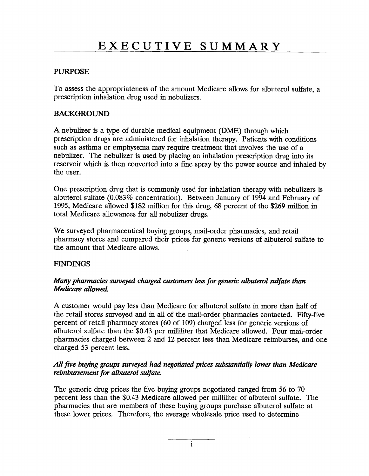#### **PURPOSE**

To assess the appropriateness of the amount Medicare allows for albuterol sulfate, a prescription inhalation drug used in nebulizers.

#### **BACKGROUND**

**A** nebulizer is a type of durable medical equipment (DME) through which prescription drugs are administered for inhalation therapy. Patients with conditions such as asthma or emphysema may require treatment that involves the use of a nebulizer. The nebulizer is used by placing an inhalation prescription drug into its reservoir which is then converted into a fine spray by the power source and inhaled by the user.

One prescription drug that is commonly used for inhalation therapy with nebulizers is albuterol sulfate (0.083% concentration). Between January of 1994 and February of 1995, Medicare allowed \$182 million for this drug, 68 percent of the \$269 million in total Medicare allowances for all nebulizer drugs.

We surveyed pharmaceutical buying groups, mail-order pharmacies, and retail pharmacy stores and compared their prices for generic versions of albuterol sulfate to the amount that Medicare allows.

#### **FINDINGS**

#### *Many pharmacies surveyed charged customers less for generic albuterol sulfate than Medicare allowed.*

A customer would pay less than Medicare for albuterol sulfate in more than half of the retail stores surveyed and in all of the mail-order pharmacies contacted. Fifty-five percent of retail pharmacy stores (60 of 109) charged less for generic versions of albuterol sulfate than the \$0.43 per milliliter that Medicare allowed. Four mail-order pharmacies charged between 2 and 12 percent less than Medicare reimburses, and one charged 53 percent less.

#### All five buying groups surveyed had negotiated prices substantially lower than Medicare *reimbursement for albuterol sulfate.*

The generic drug prices the five buying groups negotiated ranged from 56 to 70 percent less than the \$0.43 Medicare allowed per milliliter of albuterol sulfate. The pharmacies that are members of these buying groups purchase albuterol sulfate at these lower prices. Therefore, the average wholesale price used to determine

i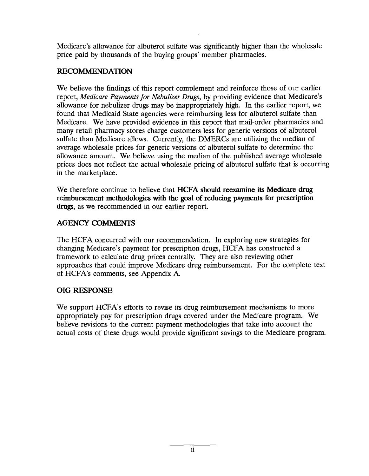Medicare's allowance for albuterol sulfate was significantly higher than the wholesale price paid by thousands of the buying groups' member pharmacies.

#### **RECOMMENDATION**

**We** believe the findings of this report complement and reinforce those of our earlier report, *Medicare Payments for Nebulizer Drugs,* by providing evidence that Medicare's allowance for nebulizer drugs may be inappropriately high. In the earlier report, we found that Medicaid State agencies were reimbursing less for albuterol sulfate than Medicare. We have provided evidence in this report that mail-order pharmacies and many retail pharmacy stores charge customers less for generic versions of albuterol sulfate than Medicare allows. Currently, the DMERCs are utilizing the median of average wholesale prices for generic versions of albuterol sulfate to determine the allowance amount. We believe using the median of the published average wholesale prices does not reflect the actual wholesale pricing of albuterol sulfate that is occurring in the marketplace.

We therefore continue to believe that **HCFA should reexamine its Medicare drug reimbursement methodologies with the goal of reducing payments for prescription drugs,** as we recommended in our earlier report.

#### **AGENCY COMMENTS**

The HCFA concurred with our recommendation. In exploring new strategies for changing Medicare's payment for prescription drugs, HCFA has constructed a framework to calculate drug prices centrally. They are also reviewing other approaches that could improve Medicare drug reimbursement. For the complete text of HCFA'S comments, see Appendix A.

#### **OIG RESPONSE**

We support HCFA's efforts to revise its drug reimbursement mechanisms to more appropriately pay for prescription drugs covered under the Medicare program. We believe revisions to the current payment methodologies that take into account the actual costs of these drugs would provide significant savings to the Medicare program.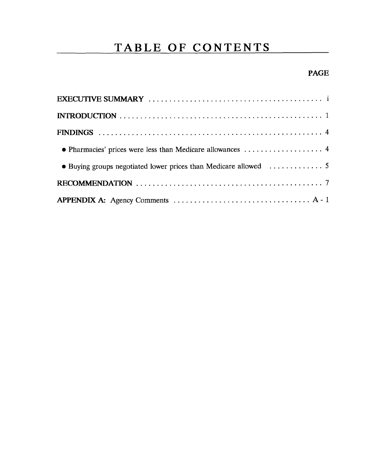## TABLE OF CONTENTS

### **PAGE**

| • Pharmacies' prices were less than Medicare allowances  4 |
|------------------------------------------------------------|
|                                                            |
|                                                            |
|                                                            |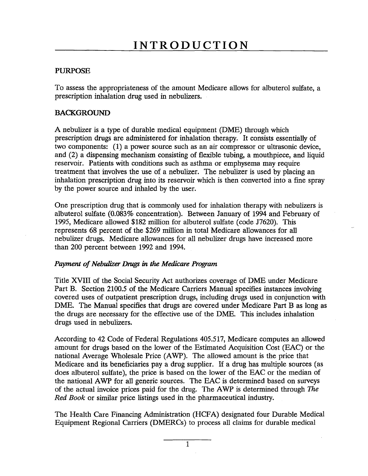#### **PURPOSE**

To assess the appropriateness of the amount Medicare allows for albuterol sulfate, a prescription inhalation drug used in nebulizers.

#### **BACKGROUND**

**A** nebulizer is a type of durable medical equipment (DME) through which prescription drugs are administered for inhalation therapy. It consists essentially of two components: (1) a power source such as an air compressor or ultrasonic device, and (2) a dispensing mechanism consisting of flexible tubing, a mouthpiece, and liquid reservoir. Patients with conditions such as asthma or emphysema may require treatment that involves the use of a nebulizer. The nebulizer is used by placing an inhalation prescription drug into its reservoir which is then converted into a fine spray by the power source and inhaled by the user.

One prescription drug that is commonly used for inhalation therapy with nebulizers is albuterol sulfate (0.083% concentration). Between January of 1994 and February of 1995, Medicare allowed \$182 million for albuterol sulfate (code J7620). This represents 68 percent of the \$269 million in total Medicare allowances for all nebulizer drugs. Medicare allowances for all nebulizer drugs have increased more than 200 percent between 1992 and 1994.

#### *Payment of Nebulizer Drugs in the Medicare Program*

Title XVIII of the Social Security Act authorizes coverage of DME under Medicare Part B. Section 2100.5 of the Medicare Carriers Manual specifies instances involving covered uses of outpatient prescription drugs, including drugs used in conjunction with DME. The Manual specifies that drugs are covered under Medicare Part B as long as the drugs are necessary for the effective use of the DME. This includes inhalation drugs used in nebulizers.

According to 42 Code of Federal Regulations 405.517, Medicare computes an allowed amount for drugs based on the lower of the Estimated Acquisition Cost (EAC) or the national Average Wholesale Price (AWP). The allowed amount is the price that Medicare and its beneficiaries pay a drug supplier. If a drug has multiple sources (as does albuterol sulfate), the price is based on the lower of the EAC or the median of the national AWP for all generic sources. The EAC is determined based on surveys of the actual invoice prices paid for the drug. The AWP is determined through The *Red Book* or similar price listings used in the pharmaceutical industry.

The Health Care Financing Administration (HCFA) designated four Durable Medical Equipment Regional Carriers (DMERCS) to process all claims for durable medical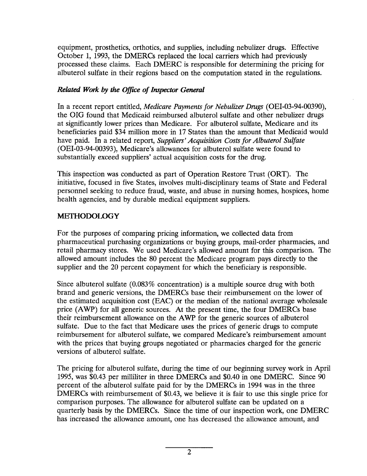equipment, prosthetics, orthotics, and supplies, including nebulizer drugs. Effective October 1, 1993, the DMERCS replaced the local carriers which had previously processed these claims. Each DMERC is responsible for determining the pricing for albuterol sulfate in their regions based on the computation stated in the regulations.

#### *Related Work by the Office of Inspector General*

In a recent report entitled, *Medicare Payments for Nebulizer Drugs (OEI-03-94-O0390),*  the OIG found that Medicaid reimbursed albuterol sulfate and other nebulizer drugs at significantly lower prices than Medicare. For albuterol sulfate, Medicare and its beneficiaries paid \$34 million more in 17 States than the amount that Medicaid would have paid. In a related report, *Suppliers' Acquisition Costs for Albuterol Sulfate (OEI-03-94-O0393),* Medicare's allowances for albuterol sulfate were found to substantially exceed suppliers' actual acquisition costs for the drug.

This inspection was conducted as part of Operation Restore Trust (ORT). The initiative, focused in five States, involves multi-disciplinary teams of State and Federal personnel seeking to reduce fraud, waste, and abuse in nursing homes, hospices, home health agencies, and by durable medical equipment suppliers.

#### **METHODOLOGY**

For the purposes of comparing pricing information, we collected data from pharmaceutical purchasing organizations or buying groups, mail-order pharmacies, and retail pharmacy stores. We used Medicare's allowed amount for this comparison. The allowed amount includes the 80 percent the Medicare program pays directly to the supplier and the 20 percent copayment for which the beneficiary is responsible.

Since albuterol sulfate (0.083% concentration) is a multiple source drug with both brand and generic versions, the DMERCS base their reimbursement on the lower of the estimated acquisition cost (EAC) or the median of the national average wholesale price (AWP) for all generic sources. At the present time, the four DMERCS base their reimbursement allowance on the AWP for the generic sources of albuterol sulfate. Due to the fact that Medicare uses the prices of generic drugs to compute reimbursement for albuterol sulfate, we compared Medicare's reimbursement amount with the prices that buying groups negotiated or pharmacies charged for the generic versions of albuterol sulfate.

The pricing for albuterol sulfate, during the time of our beginning survey work in April 1995, was \$0.43 per milliliter in three DMERCS and \$0.40 in one DMERC. Since 90 percent of the albuterol sulfate paid for by the DMERCS in 1994 was in the three DMERCS with reimbursement of \$0.43, we believe it is fair to use this single price for comparison purposes. The allowance for albuterol sulfate can be updated on a quarterly basis by the DMERCS. Since the time of our inspection work, one DMERC has increased the allowance amount, one has decreased the allowance amount, and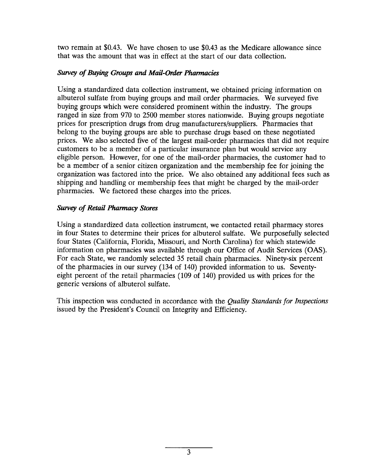two remain at \$0.43. We have chosen to use \$0.43 as the Medicare allowance since that was the amount that was in effect at the start of our data collection.

#### **Survey of Buying Groups and Mail-Order Pharmacies**

Using a standardized data collection instrument, we obtained pricing information on albuterol sulfate from buying groups and mail order pharmacies. We surveyed five buying groups which were considered prominent within the industry. The groups ranged in size from 970 to 2500 member stores nationwide. Buying groups negotiate prices for prescription drugs from drug manufacturers/suppliers. Pharmacies that belong to the buying groups are able to purchase drugs based on these negotiated prices. We also selected five of the largest mail-order pharmacies that did not require customers to be a member of a particular insurance plan but would service any eligible person. However, for one of the mail-order pharmacies, the customer had to be a member of a senior citizen organization and the membership fee for joining the organization was factored into the price. We also obtained any additional fees such as shipping and handling or membership fees that might be charged by the mail-order pharmacies. We factored these charges into the prices.

#### **Survey of Retail Pharmacy Stores**

Using a standardized data collection instrument, we contacted retail pharmacy stores in four States to determine their prices for albuterol sulfate. We purposefully selected four States (California, Florida, Missouri, and North Carolina) for which statewide information on pharmacies was available through our Office of Audit Services (OAS). For each State, we randomly selected 35 retail chain pharmacies. Ninety-six percent of the pharmacies in our survey (134 of 140) provided information to us. Seventyeight percent of the retail pharmacies (109 of 140) provided us with prices for the generic versions of albuterol sulfate.

This inspection was conducted in accordance with the *Quality Standards for Inspections*  issued by the President's Council on Integrity and Efficiency.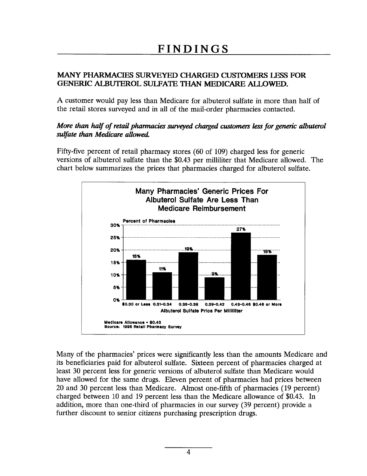#### MANY PHARMACIES SURVEYED CHARGED CUSTOMERS LESS FOR **GENERIC ALBUTEROL SULFATE THAN MEDICARE ALLOWED.**

A customer would pay less than Medicare for albuterol sulfate in more than half of the retail stores surveyed and in all of the mail-order pharmacies contacted.

#### More than half of retail pharmacies surveyed charged customers less for generic albuterol sulfate than Medicare allowed.

Fifty-five percent of retail pharmacy stores (60 of 109) charged less for generic versions of albuterol sulfate than the \$0.43 per milliliter that Medicare allowed. The chart below summarizes the prices that pharmacies charged for albuterol sulfate.



Many of the pharmacies' prices were significantly less than the amounts Medicare and its beneficiaries paid for albuterol sulfate. Sixteen percent of pharmacies charged at least 30 percent less for generic versions of albuterol sulfate than Medicare would have allowed for the same drugs. Eleven percent of pharmacies had prices between 20 and 30 percent less than Medicare. Almost one-fifth of pharmacies (19 percent) charged between 10 and 19 percent less than the Medicare allowance of \$0.43. In addition, more than one-third of pharmacies in our survey (39 percent) provide a further discount to senior citizens purchasing prescription drugs.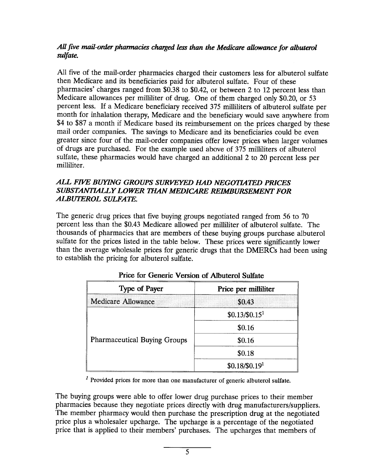#### All five mail-order pharmacies charged less *than the Medicare allowance for albuterol sulfate.*

All five of the mail-order pharmacies charged their customers less for albuterol sulfate then Medicare and its beneficiaries paid for albuterol sulfate. Four of these pharmacies' charges ranged from \$0.38 to \$0.42, or between 2 to 12 percent less than Medicare allowances per milliliter of drug. One of them charged only \$0.20, or 53 percent less. If a Medicare beneficiary received 375 milliliters of albuterol sulfate per month for inhalation therapy, Medicare and the beneficiary would save anywhere from \$4 to **\$87** a month if Medicare based its reimbursement on the prices charged by these mail order companies. The savings to Medicare and its beneficiaries could be even greater since four of the mail-order companies offer lower prices when larger volumes of drugs are purchased. For the example used above of 375 milliliters of albuterol sulfate, these pharmacies would have charged an additional 2 to 20 percent less per milliliter.

#### *ALL F~ BUYING GROUPS SURKt?YEDHAD NEGOTL41ED PMCES*  SUBSTANTIALLY LOWER THAN MEDICARE REIMBURSEMENT FOR *ALBUTEROL SULFATE.*

The generic drug prices that five buying groups negotiated ranged from 56 to 70 percent less than the \$0.43 Medicare allowed per milliliter of albuterol sulfate. The thousands of pharmacies that are members of these buying groups purchase albuterol sulfate for the prices listed in the table below. These prices were significantly lower than the average wholesale prices for generic drugs that the DMERCS had been using to establish the pricing for albuterol sulfate.

| <b>Type of Payer</b>                | Price per milliliter       |
|-------------------------------------|----------------------------|
| Medicare Allowance                  | \$0.43                     |
| <b>Pharmaceutical Buying Groups</b> | \$0.13/\$0.15 <sup>1</sup> |
|                                     | \$0.16                     |
|                                     | \$0.16                     |
|                                     | \$0.18                     |
|                                     | $$0.18/\$0.191$            |

#### **Price for Generic Version of Albuterol Sulfate**

 $<sup>1</sup>$  Provided prices for more than one manufacturer of generic albuterol sulfate.</sup>

The buying groups were able to offer lower drug purchase prices to their member pharmacies because they negotiate prices directly with drug manufacturers/suppliers. The member pharmacy would then purchase the prescription drug at the negotiated price plus a wholesaler upcharge. The upcharge is a percentage of the negotiated price that is applied to their members' purchases. The upcharges that members of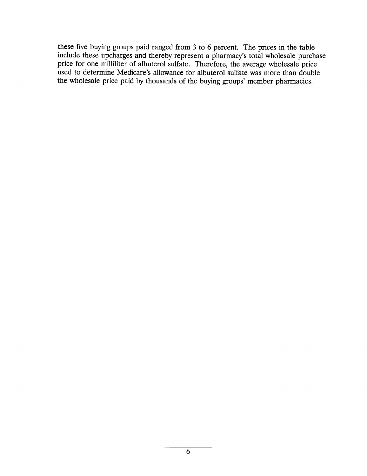these five buying groups paid ranged from 3 to 6 percent. The prices in the table include these upcharges and thereby represent a pharmacy's total wholesale purchase price for one milliliter of albuterol sulfate. Therefore, the average wholesale price used to determine Medicare's allowance for albuterol sulfate was more than double the wholesale price paid by thousands of the buying groups' member pharmacies.

 $\sim$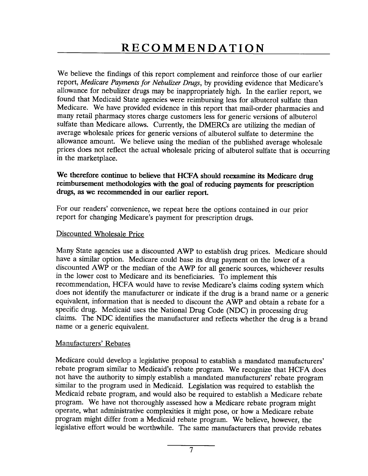We believe the findings of this report complement and reinforce those of our earlier report, *Medicare Payments for Nebulizer Drugs,* by providing evidence that Medicare's allowance for nebulizer drugs may be inappropriately high. In the earlier report, we found that Medicaid State agencies were reimbursing less for albuterol sulfate than Medicare. We have provided evidence in this report that mail-order pharmacies and many retail pharmacy stores charge customers less for generic versions of albuterol sulfate than Medicare allows. Currently, the DMERCs are utilizing the median of average wholesale prices for generic versions of albuterol sulfate to determine the allowance amount. We believe using the median of the published average wholesale prices does not reflect the actual wholesale pricing of albuterol sulfate that is occurring in the marketplace.

#### **We therefore continue to believe that HCFA should reexamin e its Medicare drug reimbursement methodologies with the goal of reducing payments for prescription drugs, as we recommended in our earlier report.**

For our readers' convenience, we repeat here the options contained in our prior report for changing Medicare's payment for prescription drugs.

#### Discounted Wholesale Price

Many State agencies use a discounted AWP to establish drug prices. Medicare should have a similar option. Medicare could base its drug payment on the lower of a discounted AWP or the median of the AWP for all generic sources, whichever results in the lower cost to Medicare and its beneficiaries. To implement this recommendation, HCFA would have to revise Medicare's claims coding system which does not identifj the manufacturer or indicate if the drug is a brand name or a generic equivalent, information that is needed to discount the AWP and obtain a rebate for a specific drug. Medicaid uses the National Drug Code (NDC) in processing drug claims. The NDC identifies the manufacturer and reflects whether the drug is a brand name or a generic equivalent.

#### Manufacturers' Rebates

Medicare could develop a legislative proposal to establish a mandated manufacturers' rebate program similar to Medicaid's rebate program. We recognize that HCFA does not have the authority to simply establish a mandated manufacturers' rebate program similar to the program used in Medicaid. Legislation was required to establish the Medicaid rebate program, and would also be required to establish a Medicare rebate program. We have not thoroughly assessed how a Medicare rebate program might operate, what administrative complexities it might pose, or how a Medicare rebate program might differ from a Medicaid rebate program. We believe, however, the legislative effort would be worthwhile. The same manufacturers that provide rebates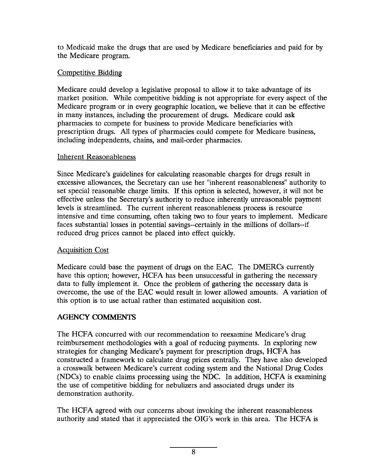to Medicaid make the drugs that are used by Medicare beneficiaries and paid for by the Medicare program.

#### Competitive Bidding

Medicare could develop a legislative proposal to allow it to take advantage of its market position. While competitive bidding is not appropriate for every aspect of the Medicare program or in every geographic location, we believe that it can be effective in many instances, including the procurement of drugs. Medicare could ask pharmacies to compete for business to provide Medicare beneficiaries with prescription drugs. All types of pharmacies could compete for Medicare business, including independents, chains, and mail-order pharmacies.

#### Inherent Reasonableness

Since Medicare's guidelines for calculating reasonable charges for drugs result in excessive allowances, the Secretary can use her "inherent reasonableness" authority to set special reasonable charge limits. If this option is selected, however, it will not be effective unless the Secretary's authority to reduce inherently unreasonable payment levels is streamlined. The current inherent reasonableness process is resource intensive and time consuming, often taking two to four years to implement. Medicare faces substantial losses in potential savings--certainly in the millions of dollars--if reduced drug prices cannot be placed into effect quickly.

#### **Acquisition Cost**

Medicare could base the payment of drugs on the EAC. The DMERCs currently have this option; however, HCFA has been unsuccessful in gathering the necessary data to fully implement it. Once the problem of gathering the necessary data is overcome, the use of the EAC would result in lower allowed amounts. A variation of this option is to use actual rather than estimated acquisition cost.

### **AGENCY COMMENTS**

The HCFA concurred with our recommendation to reexamine Medicare's drug reimbursement methodologies with a goal of reducing payments. In exploring new strategies for changing Medicare's payment for prescription drugs, HCFA has constructed a framework to calculate drug prices centrally. They have also developed a crosswalk between Medicare's current coding system and the National Drug Codes (NDCS) to enable claims processing using the NDC. In addition, HCFA is examining the use of competitive bidding for nebulizers and associated drugs under its demonstration authority.

The HCFA agreed with our concerns about invoking the inherent reasonableness authority and stated that it appreciated the OIG'S work in this area. The HCFA is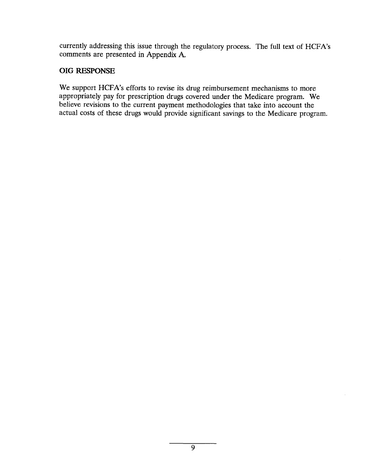currently addressing this issue through the regulatory process. The full text of HCFA'S comments are presented in Appendix A,

#### **OIG RESPONSE**

We support HCFA's efforts to revise its drug reimbursement mechanisms to more appropriately pay for prescription drugs covered under the Medicare program. We believe revisions to the current payment methodologies that take into account the actual costs of these drugs would provide significant savings to the Medicare program.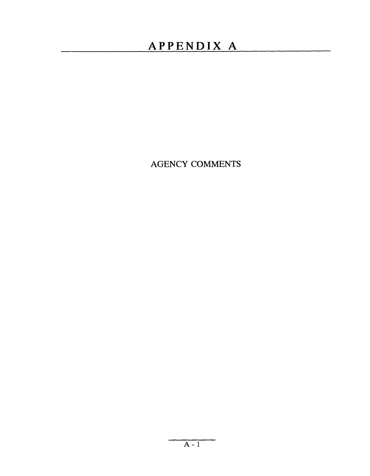### **APPENDIX A**

**AGENCY COMMENTS**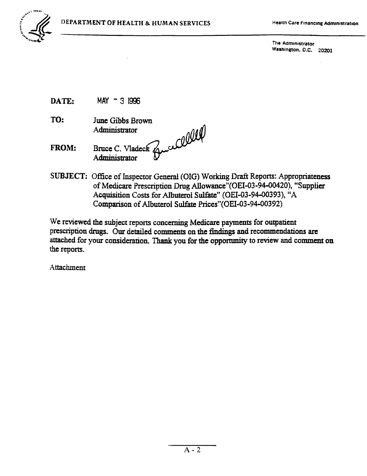

The Administrator Washington, D.C. 20201

- MAY 3 1996 DATE:
- TO: June Gibbs Brown
- Bruce C. Vladeck Guelle **FROM:**
- SUBJECT: Office of Inspector General (OIG) Working Draft Reports: Appropriateness of Medicare Prescription Drug Allowance" (OEI-03-94-00420), "Supplier Acquisition Costs for Albuterol Sulfate" (OEI-03-94-00393), "A Comparison of Albuterol Sulfate Prices"(OEI-03-94-00392)

We reviewed the subject reports concerning Medicare payments for outpatient prescription drugs. Our detailed comments on the findings and recommendations are attached for your consideration. Thank you for the opportunity to review and comment on the reports.

Attachment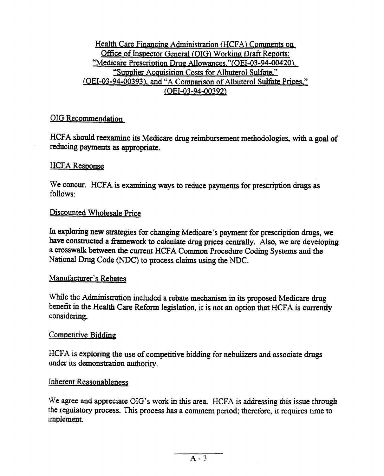### Health Care Financing Administration (HCFA) Comments on Office of Inspector General (OIG) Working Draft Reports: "Medicare Prescription Drug Allowances." (OEI-03-94-00420). "Supplier Acquisition Costs for Albuterol Sulfate."<br>(OEI-03-94-00393), and "A Comparison of Albuterol Sulfate Prices,"  $(OEI-03-94-00392)$

### **OIG Recommendation**

reducing payments as appropriate. reducing payments as appropriate.

#### HCFA Response

 $follows$ 

#### Discounted Wholesale Price

be **constructeda** fhunework to caiculate drug prices centrally. Also, we are developing In exploring new strategies for changing Medicare's payment for prescription drugs, we have constructed a framework to calculate drug prices centrally. Also, we are developing a crosswalk between the current HCFA Common Procedure Coding Systems and the National Drug Code (NDC) to process claims using the NDC.

#### Manufacturer's Rebates

benefit in the Heaith Care Reform legislation in the Health Care Reform legislation that HCFA is considered in While the  $A_0$ considering.

#### Competitive Bidding

under its demonstration authority.

#### Inherent Reasonableness

We agree and appreciate OIG's work in this area. HCFA is addressing this issue through the regulatory process. This process has a comment period; therefore, it requires time to implement.